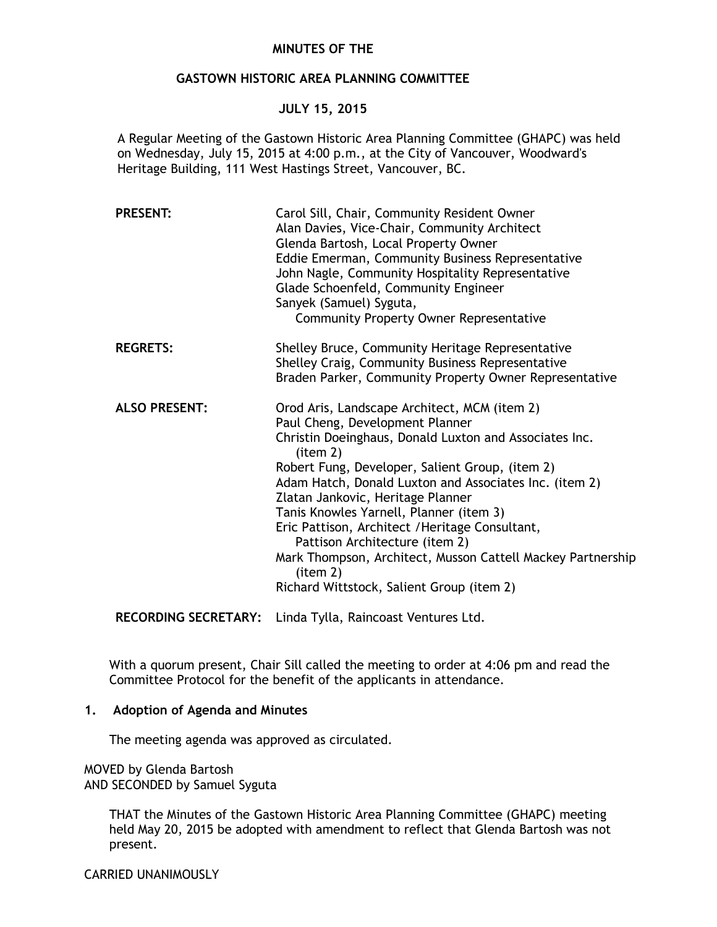## **MINUTES OF THE**

# **GASTOWN HISTORIC AREA PLANNING COMMITTEE**

## **JULY 15, 2015**

A Regular Meeting of the Gastown Historic Area Planning Committee (GHAPC) was held on Wednesday, July 15, 2015 at 4:00 p.m., at the City of Vancouver, Woodward's Heritage Building, 111 West Hastings Street, Vancouver, BC.

| <b>PRESENT:</b>      | Carol Sill, Chair, Community Resident Owner<br>Alan Davies, Vice-Chair, Community Architect<br>Glenda Bartosh, Local Property Owner<br>Eddie Emerman, Community Business Representative<br>John Nagle, Community Hospitality Representative<br>Glade Schoenfeld, Community Engineer<br>Sanyek (Samuel) Syguta,<br><b>Community Property Owner Representative</b>                                                                                                                                                                                              |
|----------------------|---------------------------------------------------------------------------------------------------------------------------------------------------------------------------------------------------------------------------------------------------------------------------------------------------------------------------------------------------------------------------------------------------------------------------------------------------------------------------------------------------------------------------------------------------------------|
| <b>REGRETS:</b>      | Shelley Bruce, Community Heritage Representative<br>Shelley Craig, Community Business Representative<br>Braden Parker, Community Property Owner Representative                                                                                                                                                                                                                                                                                                                                                                                                |
| <b>ALSO PRESENT:</b> | Orod Aris, Landscape Architect, MCM (item 2)<br>Paul Cheng, Development Planner<br>Christin Doeinghaus, Donald Luxton and Associates Inc.<br>item 2)<br>Robert Fung, Developer, Salient Group, (item 2)<br>Adam Hatch, Donald Luxton and Associates Inc. (item 2)<br>Zlatan Jankovic, Heritage Planner<br>Tanis Knowles Yarnell, Planner (item 3)<br>Eric Pattison, Architect / Heritage Consultant,<br>Pattison Architecture (item 2)<br>Mark Thompson, Architect, Musson Cattell Mackey Partnership<br>item 2)<br>Richard Wittstock, Salient Group (item 2) |

**RECORDING SECRETARY:** Linda Tylla, Raincoast Ventures Ltd.

With a quorum present, Chair Sill called the meeting to order at 4:06 pm and read the Committee Protocol for the benefit of the applicants in attendance.

#### **1. Adoption of Agenda and Minutes**

The meeting agenda was approved as circulated.

MOVED by Glenda Bartosh AND SECONDED by Samuel Syguta

> THAT the Minutes of the Gastown Historic Area Planning Committee (GHAPC) meeting held May 20, 2015 be adopted with amendment to reflect that Glenda Bartosh was not present.

CARRIED UNANIMOUSLY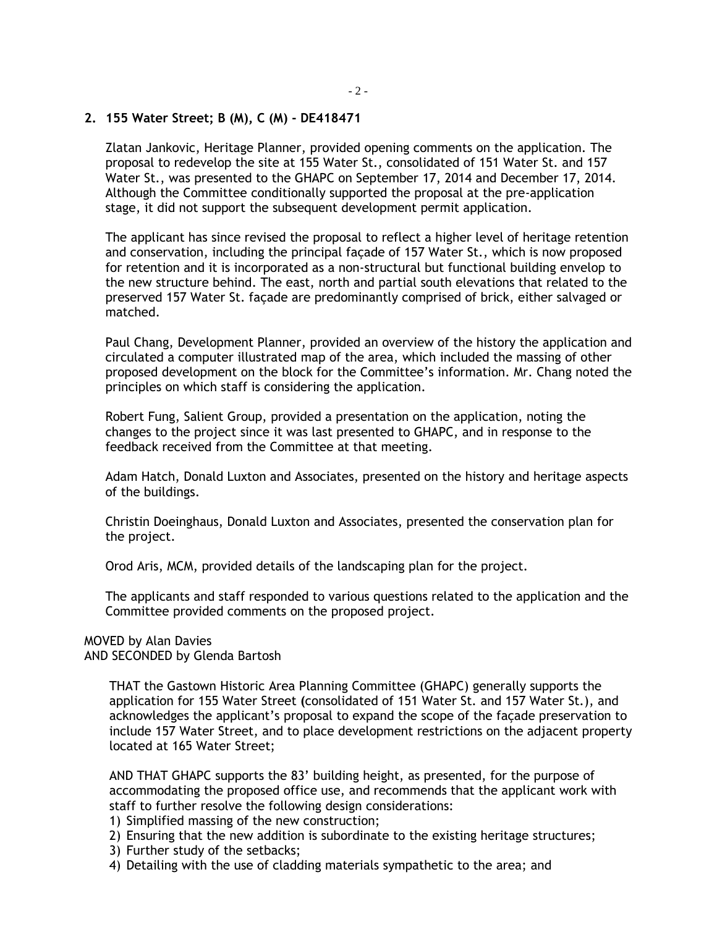# **2. 155 Water Street; B (M), C (M) - DE418471**

Zlatan Jankovic, Heritage Planner, provided opening comments on the application. The proposal to redevelop the site at 155 Water St., consolidated of 151 Water St. and 157 Water St., was presented to the GHAPC on September 17, 2014 and December 17, 2014. Although the Committee conditionally supported the proposal at the pre-application stage, it did not support the subsequent development permit application.

The applicant has since revised the proposal to reflect a higher level of heritage retention and conservation, including the principal façade of 157 Water St., which is now proposed for retention and it is incorporated as a non-structural but functional building envelop to the new structure behind. The east, north and partial south elevations that related to the preserved 157 Water St. façade are predominantly comprised of brick, either salvaged or matched.

Paul Chang, Development Planner, provided an overview of the history the application and circulated a computer illustrated map of the area, which included the massing of other proposed development on the block for the Committee's information. Mr. Chang noted the principles on which staff is considering the application.

Robert Fung, Salient Group, provided a presentation on the application, noting the changes to the project since it was last presented to GHAPC, and in response to the feedback received from the Committee at that meeting.

Adam Hatch, Donald Luxton and Associates, presented on the history and heritage aspects of the buildings.

Christin Doeinghaus, Donald Luxton and Associates, presented the conservation plan for the project.

Orod Aris, MCM, provided details of the landscaping plan for the project.

The applicants and staff responded to various questions related to the application and the Committee provided comments on the proposed project.

## MOVED by Alan Davies

AND SECONDED by Glenda Bartosh

THAT the Gastown Historic Area Planning Committee (GHAPC) generally supports the application for 155 Water Street **(**consolidated of 151 Water St. and 157 Water St.), and acknowledges the applicant's proposal to expand the scope of the façade preservation to include 157 Water Street, and to place development restrictions on the adjacent property located at 165 Water Street;

AND THAT GHAPC supports the 83' building height, as presented, for the purpose of accommodating the proposed office use, and recommends that the applicant work with staff to further resolve the following design considerations:

- 1) Simplified massing of the new construction;
- 2) Ensuring that the new addition is subordinate to the existing heritage structures;
- 3) Further study of the setbacks;
- 4) Detailing with the use of cladding materials sympathetic to the area; and